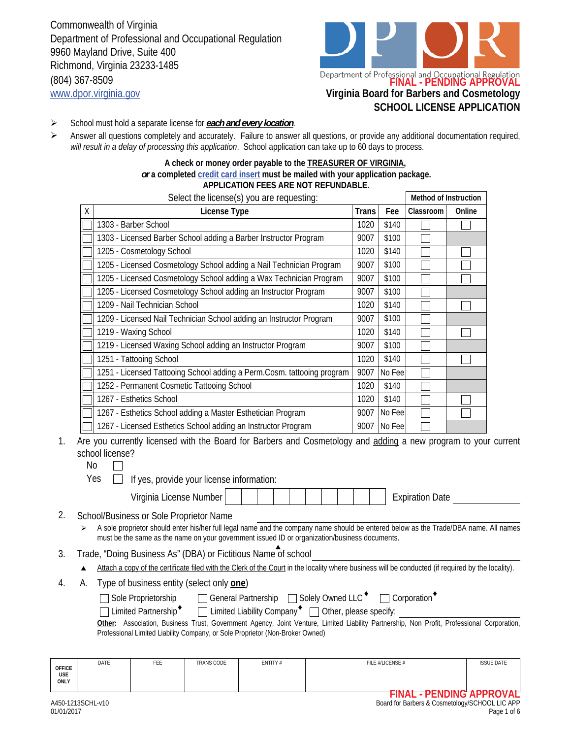Commonwealth of Virginia Department of Professional and Occupational Regulation 9960 Mayland Drive, Suite 400 Richmond, Virginia 23233-1485 (804) 367-8509 www.dpor.virginia.gov **Virginia Board for Barbers and Cosmetology**



- School must hold a separate license for *each and every location*. ➤
- Answer all questions completely and accurately. Failure to answer all questions, or provide any additional documentation required, *will result in a delay of processing this application*. School application can take up to 60 days to process.  $\blacktriangleright$

#### **A check or money order payable to the TREASURER OF VIRGINIA,**  *or* **a completed credit card insert must be mailed with your application package. APPLICATION FEES ARE NOT REFUNDABLE.**

|   | Select the license(s) you are requesting:                              |       |        | Method of Instruction |        |
|---|------------------------------------------------------------------------|-------|--------|-----------------------|--------|
| X | License Type                                                           | Trans | Fee    | Classroom             | Online |
|   | 1303 - Barber School                                                   | 1020  | \$140  |                       |        |
|   | 1303 - Licensed Barber School adding a Barber Instructor Program       | 9007  | \$100  |                       |        |
|   | 1205 - Cosmetology School                                              | 1020  | \$140  |                       |        |
|   | 1205 - Licensed Cosmetology School adding a Nail Technician Program    | 9007  | \$100  |                       |        |
|   | 1205 - Licensed Cosmetology School adding a Wax Technician Program     | 9007  | \$100  |                       |        |
|   | 1205 - Licensed Cosmetology School adding an Instructor Program        | 9007  | \$100  |                       |        |
|   | 1209 - Nail Technician School                                          | 1020  | \$140  |                       |        |
|   | 1209 - Licensed Nail Technician School adding an Instructor Program    | 9007  | \$100  |                       |        |
|   | 1219 - Waxing School                                                   | 1020  | \$140  |                       |        |
|   | 1219 - Licensed Waxing School adding an Instructor Program             | 9007  | \$100  |                       |        |
|   | 1251 - Tattooing School                                                | 1020  | \$140  |                       |        |
|   | 1251 - Licensed Tattooing School adding a Perm.Cosm. tattooing program | 9007  | No Fee |                       |        |
|   | 1252 - Permanent Cosmetic Tattooing School                             | 1020  | \$140  |                       |        |
|   | 1267 - Esthetics School                                                | 1020  | \$140  |                       |        |
|   | 1267 - Esthetics School adding a Master Esthetician Program            | 9007  | No Fee |                       |        |
|   | 1267 - Licensed Esthetics School adding an Instructor Program          | 9007  | No Fee |                       |        |

Are you currently licensed with the Board for Barbers and Cosmetology and adding a new program to your current school license? 1.

No

 $Yes \Box$  If yes, provide your license information:

| Virginia License Number               |  |  |  |  |  |  |  |  |  |  | xpiration Date: |
|---------------------------------------|--|--|--|--|--|--|--|--|--|--|-----------------|
| cel/Duoinese an Cole Dronniston Names |  |  |  |  |  |  |  |  |  |  |                 |

2. School/Business or Sole Proprietor Name

- A sole proprietor should enter his/her full legal name and the company name should be entered below as the Trade/DBA name. All names must be the same as the name on your government issued ID or organization/business documents.
- 3. Trade, "Doing Business As" (DBA) or Fictitious Name of school
	- $\blacktriangle$ Attach a copy of the certificate filed with the Clerk of the Court in the locality where business will be conducted (if required by the locality).
- 4. A. Type of business entity (select only **one**)

| Sole Proprietorship |  | □ General Partnership □ Solely Owned LLC <sup>+</sup> | Corporation <sup>*</sup> |
|---------------------|--|-------------------------------------------------------|--------------------------|
|---------------------|--|-------------------------------------------------------|--------------------------|

Limited Partnership<sup>+</sup>  $\Box$  Limited Liability Company<sup>+</sup>  $\Box$  Other, please specify: □ Limited Partnership<sup>◆</sup>

|  |  |                                                                               |  |  |  |  | Other: Association, Business Trust, Government Agency, Joint Venture, Limited Liability Partnership, Non Profit, Professional Corporation, |  |
|--|--|-------------------------------------------------------------------------------|--|--|--|--|--------------------------------------------------------------------------------------------------------------------------------------------|--|
|  |  | Professional Limited Liability Company, or Sole Proprietor (Non-Broker Owned) |  |  |  |  |                                                                                                                                            |  |

| <b>OFFICE</b><br><b>USE</b><br><b>ONLY</b> | DATE              | FEE | <b>TRANS CODE</b> | ENTITY# | FILE #/LICENSE #                                                         | <b>ISSUE DATE</b>                                                 |
|--------------------------------------------|-------------------|-----|-------------------|---------|--------------------------------------------------------------------------|-------------------------------------------------------------------|
| 01/01/2017                                 | A450-1213SCHL-v10 |     |                   |         | <b>PIRIAI</b><br>'INAL<br>Board for Barbers & Cosmetology/SCHOOL LIC APP | <b>DENDINA ADDDAUAL</b><br><b>PENDING APPROVAL</b><br>Page 1 of 6 |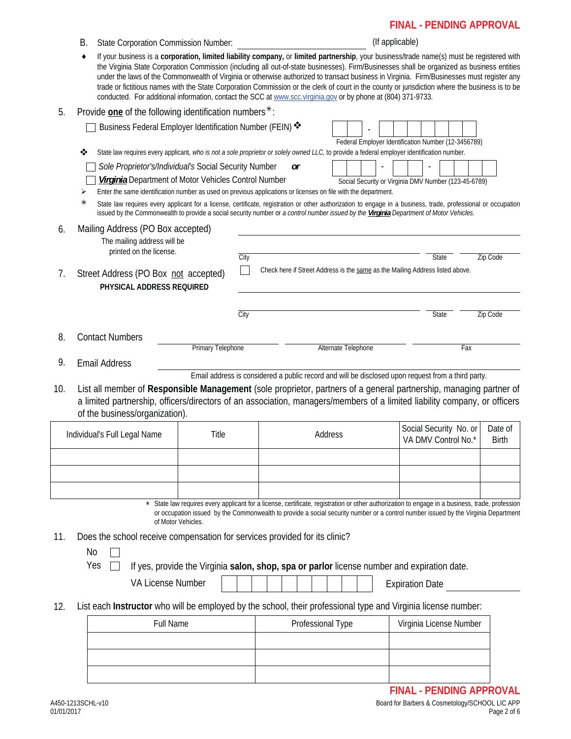# **FINAL - PENDING APPROVAL**

|     | В.                | <b>State Corporation Commission Number:</b>                                                                                                                                                                                                                                                                                                                                                                                                                                                                                                                                                                                                                                                               |                                                                                                                                                                                                                                                                                     |      |    |                     |  | (If applicable) |                                                                                                    |                        |     |                                                |
|-----|-------------------|-----------------------------------------------------------------------------------------------------------------------------------------------------------------------------------------------------------------------------------------------------------------------------------------------------------------------------------------------------------------------------------------------------------------------------------------------------------------------------------------------------------------------------------------------------------------------------------------------------------------------------------------------------------------------------------------------------------|-------------------------------------------------------------------------------------------------------------------------------------------------------------------------------------------------------------------------------------------------------------------------------------|------|----|---------------------|--|-----------------|----------------------------------------------------------------------------------------------------|------------------------|-----|------------------------------------------------|
|     | ٠                 | If your business is a corporation, limited liability company, or limited partnership, your business/trade name(s) must be registered with<br>the Virginia State Corporation Commission (including all out-of-state businesses). Firm/Businesses shall be organized as business entities<br>under the laws of the Commonwealth of Virginia or otherwise authorized to transact business in Virginia. Firm/Businesses must register any<br>trade or fictitious names with the State Corporation Commission or the clerk of court in the county or jurisdiction where the business is to be<br>conducted. For additional information, contact the SCC at www.scc.virginia.gov or by phone at (804) 371-9733. |                                                                                                                                                                                                                                                                                     |      |    |                     |  |                 |                                                                                                    |                        |     |                                                |
| 5.  |                   | Provide one of the following identification numbers*:                                                                                                                                                                                                                                                                                                                                                                                                                                                                                                                                                                                                                                                     |                                                                                                                                                                                                                                                                                     |      |    |                     |  |                 |                                                                                                    |                        |     |                                                |
|     |                   | Business Federal Employer Identification Number (FEIN) *                                                                                                                                                                                                                                                                                                                                                                                                                                                                                                                                                                                                                                                  |                                                                                                                                                                                                                                                                                     |      |    |                     |  |                 | Federal Employer Identification Number (12-3456789)                                                |                        |     |                                                |
|     | ❖                 | State law requires every applicant, who is not a sole proprietor or solely owned LLC, to provide a federal employer identification number.                                                                                                                                                                                                                                                                                                                                                                                                                                                                                                                                                                |                                                                                                                                                                                                                                                                                     |      |    |                     |  |                 |                                                                                                    |                        |     |                                                |
|     | ⋗                 | Sole Proprietor's/Individual's Social Security Number<br>Virginia Department of Motor Vehicles Control Number<br>Enter the same identification number as used on previous applications or licenses on file with the department.                                                                                                                                                                                                                                                                                                                                                                                                                                                                           |                                                                                                                                                                                                                                                                                     |      | or |                     |  |                 | Social Security or Virginia DMV Number (123-45-6789)                                               |                        |     |                                                |
|     | ⋇                 | State law requires every applicant for a license, certificate, registration or other authorization to engage in a business, trade, professional or occupation<br>issued by the Commonwealth to provide a social security number or a control number issued by the Virginia Department of Motor Vehicles.                                                                                                                                                                                                                                                                                                                                                                                                  |                                                                                                                                                                                                                                                                                     |      |    |                     |  |                 |                                                                                                    |                        |     |                                                |
| 6.  |                   | Mailing Address (PO Box accepted)                                                                                                                                                                                                                                                                                                                                                                                                                                                                                                                                                                                                                                                                         |                                                                                                                                                                                                                                                                                     |      |    |                     |  |                 |                                                                                                    |                        |     |                                                |
|     |                   | The mailing address will be<br>printed on the license.                                                                                                                                                                                                                                                                                                                                                                                                                                                                                                                                                                                                                                                    |                                                                                                                                                                                                                                                                                     |      |    |                     |  |                 |                                                                                                    |                        |     |                                                |
| 7.  |                   | Street Address (PO Box not accepted)                                                                                                                                                                                                                                                                                                                                                                                                                                                                                                                                                                                                                                                                      |                                                                                                                                                                                                                                                                                     | City |    |                     |  |                 | Check here if Street Address is the same as the Mailing Address listed above.                      | <b>State</b>           |     | Zip Code                                       |
|     |                   | PHYSICAL ADDRESS REQUIRED                                                                                                                                                                                                                                                                                                                                                                                                                                                                                                                                                                                                                                                                                 |                                                                                                                                                                                                                                                                                     |      |    |                     |  |                 |                                                                                                    |                        |     |                                                |
|     |                   |                                                                                                                                                                                                                                                                                                                                                                                                                                                                                                                                                                                                                                                                                                           |                                                                                                                                                                                                                                                                                     | City |    |                     |  |                 |                                                                                                    | State                  |     | Zip Code                                       |
| 8.  |                   | <b>Contact Numbers</b>                                                                                                                                                                                                                                                                                                                                                                                                                                                                                                                                                                                                                                                                                    |                                                                                                                                                                                                                                                                                     |      |    |                     |  |                 |                                                                                                    |                        |     |                                                |
|     |                   |                                                                                                                                                                                                                                                                                                                                                                                                                                                                                                                                                                                                                                                                                                           | Primary Telephone                                                                                                                                                                                                                                                                   |      |    | Alternate Telephone |  |                 |                                                                                                    |                        | Fax |                                                |
| 9.  |                   | <b>Email Address</b>                                                                                                                                                                                                                                                                                                                                                                                                                                                                                                                                                                                                                                                                                      |                                                                                                                                                                                                                                                                                     |      |    |                     |  |                 | Email address is considered a public record and will be disclosed upon request from a third party. |                        |     |                                                |
| 10. |                   | List all member of Responsible Management (sole proprietor, partners of a general partnership, managing partner of<br>a limited partnership, officers/directors of an association, managers/members of a limited liability company, or officers<br>of the business/organization).                                                                                                                                                                                                                                                                                                                                                                                                                         |                                                                                                                                                                                                                                                                                     |      |    |                     |  |                 |                                                                                                    |                        |     |                                                |
|     |                   |                                                                                                                                                                                                                                                                                                                                                                                                                                                                                                                                                                                                                                                                                                           |                                                                                                                                                                                                                                                                                     |      |    |                     |  |                 |                                                                                                    | Social Security No. or |     | Date of                                        |
|     |                   | Individual's Full Legal Name                                                                                                                                                                                                                                                                                                                                                                                                                                                                                                                                                                                                                                                                              | Title                                                                                                                                                                                                                                                                               |      |    | Address             |  |                 |                                                                                                    | VA DMV Control No.*    |     | <b>Birth</b>                                   |
|     |                   |                                                                                                                                                                                                                                                                                                                                                                                                                                                                                                                                                                                                                                                                                                           |                                                                                                                                                                                                                                                                                     |      |    |                     |  |                 |                                                                                                    |                        |     |                                                |
|     |                   |                                                                                                                                                                                                                                                                                                                                                                                                                                                                                                                                                                                                                                                                                                           |                                                                                                                                                                                                                                                                                     |      |    |                     |  |                 |                                                                                                    |                        |     |                                                |
|     |                   |                                                                                                                                                                                                                                                                                                                                                                                                                                                                                                                                                                                                                                                                                                           |                                                                                                                                                                                                                                                                                     |      |    |                     |  |                 |                                                                                                    |                        |     |                                                |
|     |                   | of Motor Vehicles.                                                                                                                                                                                                                                                                                                                                                                                                                                                                                                                                                                                                                                                                                        | State law requires every applicant for a license, certificate, registration or other authorization to engage in a business, trade, profession<br>or occupation issued by the Commonwealth to provide a social security number or a control number issued by the Virginia Department |      |    |                     |  |                 |                                                                                                    |                        |     |                                                |
| 11. | No                | Does the school receive compensation for services provided for its clinic?                                                                                                                                                                                                                                                                                                                                                                                                                                                                                                                                                                                                                                |                                                                                                                                                                                                                                                                                     |      |    |                     |  |                 |                                                                                                    |                        |     |                                                |
|     |                   | Yes<br>If yes, provide the Virginia salon, shop, spa or parlor license number and expiration date.                                                                                                                                                                                                                                                                                                                                                                                                                                                                                                                                                                                                        |                                                                                                                                                                                                                                                                                     |      |    |                     |  |                 |                                                                                                    |                        |     |                                                |
|     |                   | <b>VA License Number</b>                                                                                                                                                                                                                                                                                                                                                                                                                                                                                                                                                                                                                                                                                  |                                                                                                                                                                                                                                                                                     |      |    |                     |  |                 | <b>Expiration Date</b>                                                                             |                        |     |                                                |
| 12. |                   | List each Instructor who will be employed by the school, their professional type and Virginia license number:                                                                                                                                                                                                                                                                                                                                                                                                                                                                                                                                                                                             |                                                                                                                                                                                                                                                                                     |      |    |                     |  |                 |                                                                                                    |                        |     |                                                |
|     |                   | Full Name                                                                                                                                                                                                                                                                                                                                                                                                                                                                                                                                                                                                                                                                                                 |                                                                                                                                                                                                                                                                                     |      |    | Professional Type   |  |                 | Virginia License Number                                                                            |                        |     |                                                |
|     |                   |                                                                                                                                                                                                                                                                                                                                                                                                                                                                                                                                                                                                                                                                                                           |                                                                                                                                                                                                                                                                                     |      |    |                     |  |                 |                                                                                                    |                        |     |                                                |
|     |                   |                                                                                                                                                                                                                                                                                                                                                                                                                                                                                                                                                                                                                                                                                                           |                                                                                                                                                                                                                                                                                     |      |    |                     |  |                 |                                                                                                    |                        |     |                                                |
|     |                   |                                                                                                                                                                                                                                                                                                                                                                                                                                                                                                                                                                                                                                                                                                           |                                                                                                                                                                                                                                                                                     |      |    |                     |  |                 |                                                                                                    |                        |     |                                                |
|     |                   |                                                                                                                                                                                                                                                                                                                                                                                                                                                                                                                                                                                                                                                                                                           |                                                                                                                                                                                                                                                                                     |      |    |                     |  |                 |                                                                                                    |                        |     | <b>FINAL - PENDING APPROVAL</b>                |
|     | A450-1213SCHL-v10 |                                                                                                                                                                                                                                                                                                                                                                                                                                                                                                                                                                                                                                                                                                           |                                                                                                                                                                                                                                                                                     |      |    |                     |  |                 |                                                                                                    |                        |     | Board for Barbers & Cosmetology/SCHOOL LIC APP |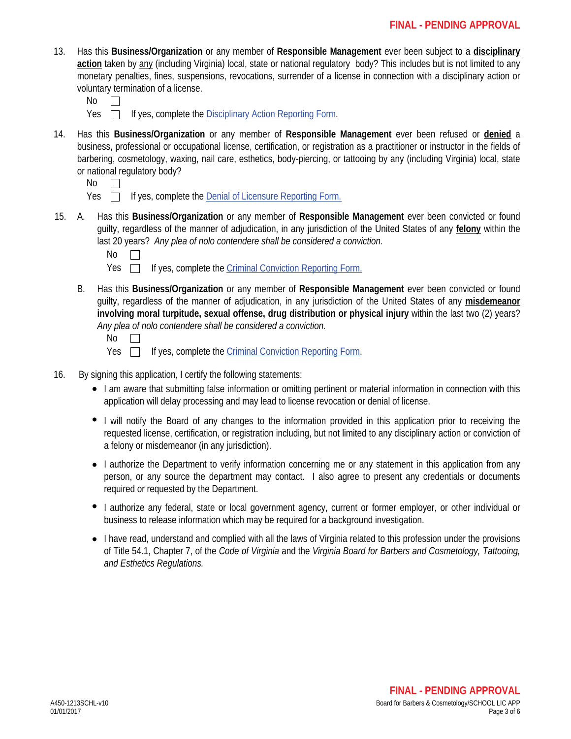- 13. Has this **Business/Organization** or any member of **Responsible Management** ever been subject to a **disciplinary action** taken by any (including Virginia) local, state or national regulatory body? This includes but is not limited to any monetary penalties, fines, suspensions, revocations, surrender of a license in connection with a disciplinary action or voluntary termination of a license.
	- No  $\Box$
	- $Yes \Box$  If yes, complete the Disciplinary Action Reporting Form.
- 14. Has this **Business/Organization** or any member of **Responsible Management** ever been refused or **denied** a business, professional or occupational license, certification, or registration as a practitioner or instructor in the fields of barbering, cosmetology, waxing, nail care, esthetics, body-piercing, or tattooing by any (including Virginia) local, state or national regulatory body?
	- No  $\Box$
	- $Yes \Box$  If yes, complete the Denial of Licensure Reporting Form.
- A. Has this **Business/Organization** or any member of **Responsible Management** ever been convicted or found 15. guilty, regardless of the manner of adjudication, in any jurisdiction of the United States of any **felony** within the last 20 years? *Any plea of nolo contendere shall be considered a conviction.*

 $\Box$ 

- Yes  $\Box$  If yes, complete the Criminal Conviction Reporting Form.
- B. Has this **Business/Organization** or any member of **Responsible Management** ever been convicted or found guilty, regardless of the manner of adjudication, in any jurisdiction of the United States of any **misdemeanor involving moral turpitude, sexual offense, drug distribution or physical injury** within the last two (2) years? *Any plea of nolo contendere shall be considered a conviction.*

| ۰, |  |
|----|--|
|----|--|

- Yes  $\Box$ If yes, complete the Criminal Conviction Reporting Form.
- 16. By signing this application, I certify the following statements:
	- I am aware that submitting false information or omitting pertinent or material information in connection with this application will delay processing and may lead to license revocation or denial of license.
	- I will notify the Board of any changes to the information provided in this application prior to receiving the requested license, certification, or registration including, but not limited to any disciplinary action or conviction of a felony or misdemeanor (in any jurisdiction).
	- I authorize the Department to verify information concerning me or any statement in this application from any person, or any source the department may contact. I also agree to present any credentials or documents required or requested by the Department.
	- I authorize any federal, state or local government agency, current or former employer, or other individual or business to release information which may be required for a background investigation.
	- I have read, understand and complied with all the laws of Virginia related to this profession under the provisions of Title 54.1, Chapter 7, of the *Code of Virginia* and the *Virginia Board for Barbers and Cosmetology, Tattooing, and Esthetics Regulations.*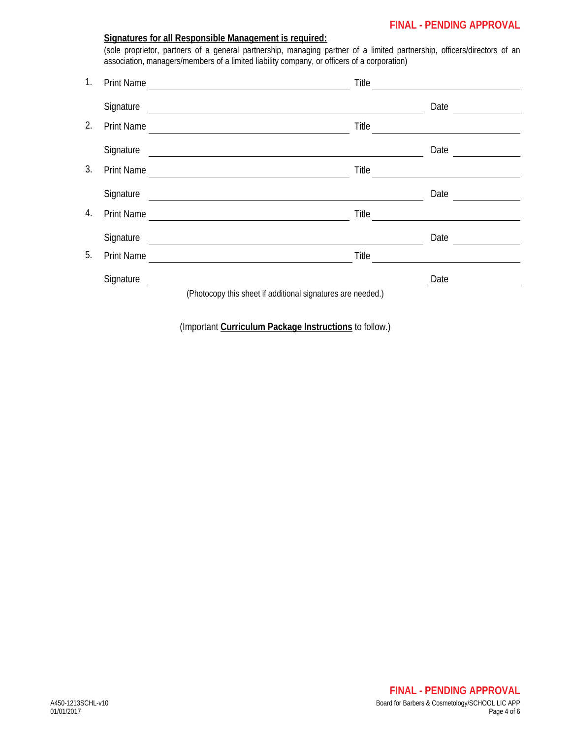# **FINAL - PENDING APPROVAL**

|    |                   | Signatures for all Responsible Management is required:<br>(sole proprietor, partners of a general partnership, managing partner of a limited partnership, officers/directors of an<br>association, managers/members of a limited liability company, or officers of a corporation) |       |                                                             |
|----|-------------------|-----------------------------------------------------------------------------------------------------------------------------------------------------------------------------------------------------------------------------------------------------------------------------------|-------|-------------------------------------------------------------|
| 1. | <b>Print Name</b> | <u> 1989 - Johann Barn, amerikansk politiker (</u>                                                                                                                                                                                                                                | Title | <u> 1980 - Jan Stein, amerikansk politiker (</u>            |
|    | Signature         | <u> 1989 - Johann Harry Harry Harry Harry Harry Harry Harry Harry Harry Harry Harry Harry Harry Harry Harry Harry</u>                                                                                                                                                             |       | Date                                                        |
| 2. | <b>Print Name</b> |                                                                                                                                                                                                                                                                                   | Title | the control of the control of the control of the control of |
|    | Signature         | <u> 1989 - Johann Harry Harry Harry Harry Harry Harry Harry Harry Harry Harry Harry Harry Harry Harry Harry Harry</u>                                                                                                                                                             |       | Date                                                        |
| 3. | <b>Print Name</b> | <u> 1980 - Johann Stein, fransk politik (d. 1980)</u>                                                                                                                                                                                                                             | Title |                                                             |
|    | Signature         |                                                                                                                                                                                                                                                                                   |       | Date                                                        |
| 4. | <b>Print Name</b> | <u> 1980 - Johann Barn, mars an t-Amerikaansk politiker (</u>                                                                                                                                                                                                                     | Title |                                                             |
|    | Signature         | <u> 1989 - Johann Stein, mars an deutscher Stein († 1958)</u>                                                                                                                                                                                                                     |       | Date                                                        |
| 5. | Print Name        |                                                                                                                                                                                                                                                                                   | Title |                                                             |
|    | Signature         |                                                                                                                                                                                                                                                                                   |       | Date                                                        |
|    |                   | (Photocopy this sheet if additional signatures are needed.)                                                                                                                                                                                                                       |       |                                                             |

(Important **Curriculum Package Instructions** to follow.)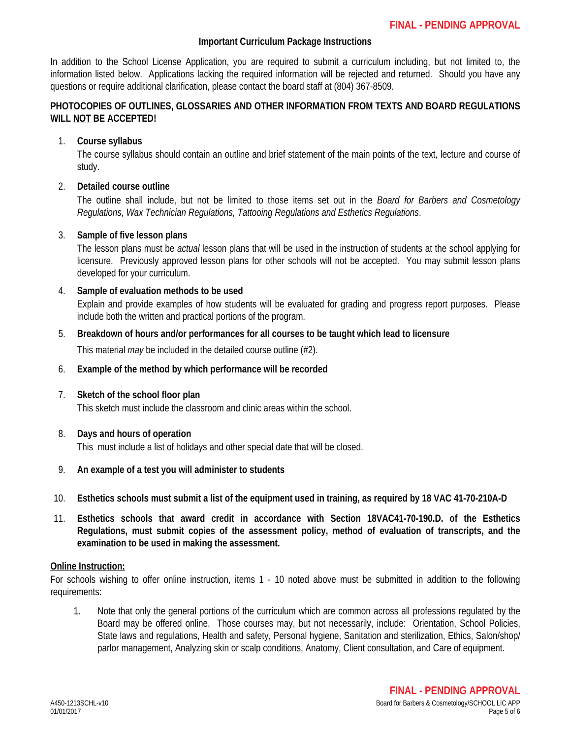# **Important Curriculum Package Instructions**

In addition to the School License Application, you are required to submit a curriculum including, but not limited to, the information listed below. Applications lacking the required information will be rejected and returned. Should you have any questions or require additional clarification, please contact the board staff at (804) 367-8509.

# **PHOTOCOPIES OF OUTLINES, GLOSSARIES AND OTHER INFORMATION FROM TEXTS AND BOARD REGULATIONS WILL NOT BE ACCEPTED!**

## 1. **Course syllabus**

The course syllabus should contain an outline and brief statement of the main points of the text, lecture and course of study.

# 2. **Detailed course outline**

The outline shall include, but not be limited to those items set out in the *Board for Barbers and Cosmetology Regulations, Wax Technician Regulations, Tattooing Regulations and Esthetics Regulations*.

# 3. **Sample of five lesson plans**

The lesson plans must be *actual* lesson plans that will be used in the instruction of students at the school applying for licensure. Previously approved lesson plans for other schools will not be accepted. You may submit lesson plans developed for your curriculum.

# 4. **Sample of evaluation methods to be used**

Explain and provide examples of how students will be evaluated for grading and progress report purposes. Please include both the written and practical portions of the program.

### 5. **Breakdown of hours and/or performances for all courses to be taught which lead to licensure**

This material *may* be included in the detailed course outline (#2).

### 6. **Example of the method by which performance will be recorded**

### 7. **Sketch of the school floor plan**

This sketch must include the classroom and clinic areas within the school.

### 8. **Days and hours of operation**

This must include a list of holidays and other special date that will be closed.

### 9. **An example of a test you will administer to students**

- 10. **Esthetics schools must submit a list of the equipment used in training, as required by 18 VAC 41-70-210A-D**
- 11. **Esthetics schools that award credit in accordance with Section 18VAC41-70-190.D. of the Esthetics Regulations, must submit copies of the assessment policy, method of evaluation of transcripts, and the examination to be used in making the assessment.**

### **Online Instruction:**

For schools wishing to offer online instruction, items 1 - 10 noted above must be submitted in addition to the following requirements:

1. Note that only the general portions of the curriculum which are common across all professions regulated by the Board may be offered online. Those courses may, but not necessarily, include: Orientation, School Policies, State laws and regulations, Health and safety, Personal hygiene, Sanitation and sterilization, Ethics, Salon/shop/ parlor management, Analyzing skin or scalp conditions, Anatomy, Client consultation, and Care of equipment.